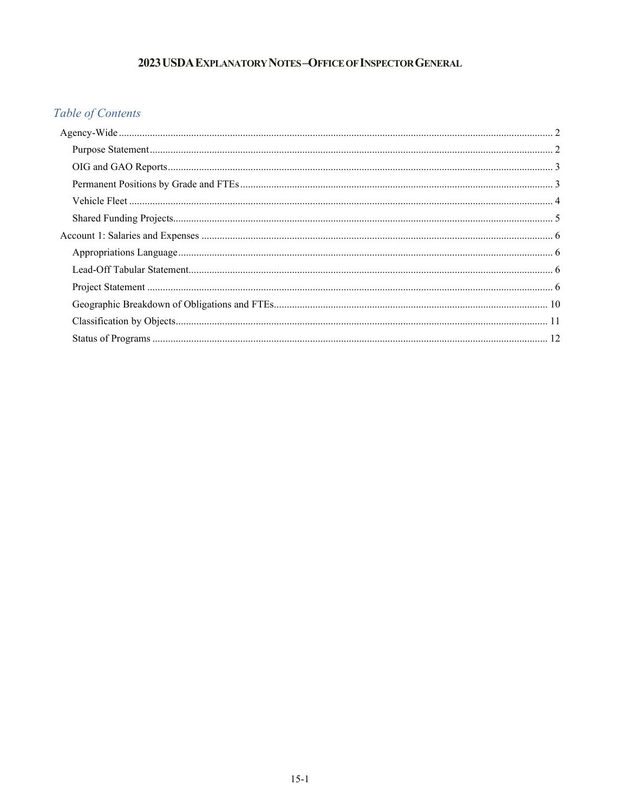# 2023 USDA EXPLANATORY NOTES-OFFICE OF INSPECTOR GENERAL

# Table of Contents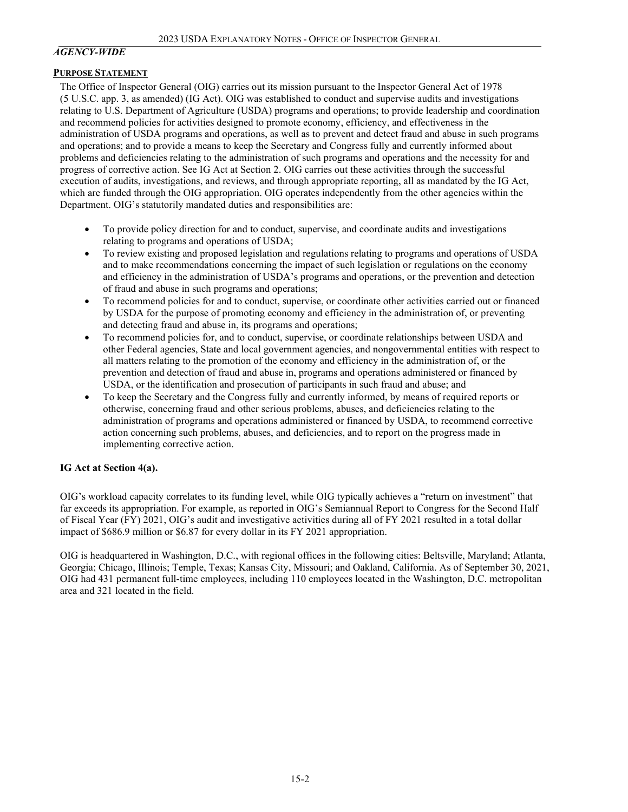#### <span id="page-1-0"></span>*AGENCY-WIDE*

#### <span id="page-1-1"></span>**PURPOSE STATEMENT**

The Office of Inspector General (OIG) carries out its mission pursuant to the Inspector General Act of 1978 (5 U.S.C. app. 3, as amended) (IG Act). OIG was established to conduct and supervise audits and investigations relating to U.S. Department of Agriculture (USDA) programs and operations; to provide leadership and coordination and recommend policies for activities designed to promote economy, efficiency, and effectiveness in the administration of USDA programs and operations, as well as to prevent and detect fraud and abuse in such programs and operations; and to provide a means to keep the Secretary and Congress fully and currently informed about problems and deficiencies relating to the administration of such programs and operations and the necessity for and progress of corrective action. See IG Act at Section 2. OIG carries out these activities through the successful execution of audits, investigations, and reviews, and through appropriate reporting, all as mandated by the IG Act, which are funded through the OIG appropriation. OIG operates independently from the other agencies within the Department. OIG's statutorily mandated duties and responsibilities are:

- To provide policy direction for and to conduct, supervise, and coordinate audits and investigations relating to programs and operations of USDA;
- To review existing and proposed legislation and regulations relating to programs and operations of USDA and to make recommendations concerning the impact of such legislation or regulations on the economy and efficiency in the administration of USDA's programs and operations, or the prevention and detection of fraud and abuse in such programs and operations;
- To recommend policies for and to conduct, supervise, or coordinate other activities carried out or financed by USDA for the purpose of promoting economy and efficiency in the administration of, or preventing and detecting fraud and abuse in, its programs and operations;
- To recommend policies for, and to conduct, supervise, or coordinate relationships between USDA and other Federal agencies, State and local government agencies, and nongovernmental entities with respect to all matters relating to the promotion of the economy and efficiency in the administration of, or the prevention and detection of fraud and abuse in, programs and operations administered or financed by USDA, or the identification and prosecution of participants in such fraud and abuse; and
- To keep the Secretary and the Congress fully and currently informed, by means of required reports or otherwise, concerning fraud and other serious problems, abuses, and deficiencies relating to the administration of programs and operations administered or financed by USDA, to recommend corrective action concerning such problems, abuses, and deficiencies, and to report on the progress made in implementing corrective action.

#### **IG Act at Section 4(a).**

OIG's workload capacity correlates to its funding level, while OIG typically achieves a "return on investment" that far exceeds its appropriation. For example, as reported in OIG's Semiannual Report to Congress for the Second Half of Fiscal Year (FY) 2021, OIG's audit and investigative activities during all of FY 2021 resulted in a total dollar impact of \$686.9 million or \$6.87 for every dollar in its FY 2021 appropriation.

<span id="page-1-2"></span>OIG is headquartered in Washington, D.C., with regional offices in the following cities: Beltsville, Maryland; Atlanta, Georgia; Chicago, Illinois; Temple, Texas; Kansas City, Missouri; and Oakland, California. As of September 30, 2021, OIG had 431 permanent full-time employees, including 110 employees located in the Washington, D.C. metropolitan area and 321 located in the field.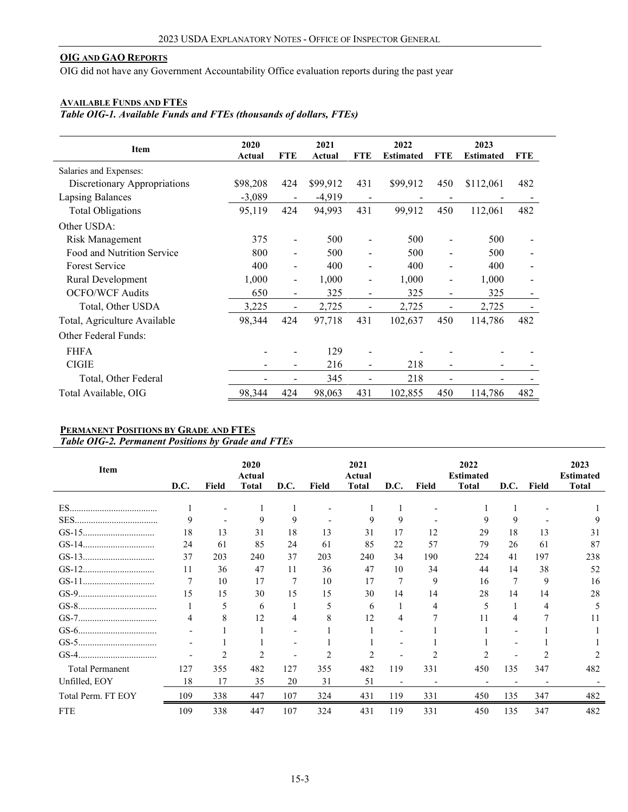### **OIG AND GAO REPORTS**

OIG did not have any Government Accountability Office evaluation reports during the past year

#### **AVAILABLE FUNDS AND FTES**

*Table OIG-1. Available Funds and FTEs (thousands of dollars, FTEs)*

| <b>Item</b>                  | 2020<br>Actual | <b>FTE</b>               | 2021<br>Actual | <b>FTE</b>     | 2022<br><b>Estimated</b> | <b>FTE</b>                   | 2023<br><b>Estimated</b> | <b>FTE</b> |
|------------------------------|----------------|--------------------------|----------------|----------------|--------------------------|------------------------------|--------------------------|------------|
| Salaries and Expenses:       |                |                          |                |                |                          |                              |                          |            |
| Discretionary Appropriations | \$98,208       | 424                      | \$99,912       | 431            | \$99,912                 | 450                          | \$112,061                | 482        |
| <b>Lapsing Balances</b>      | $-3,089$       | $\blacksquare$           | $-4,919$       |                |                          |                              |                          |            |
| <b>Total Obligations</b>     | 95,119         | 424                      | 94,993         | 431            | 99,912                   | 450                          | 112,061                  | 482        |
| Other USDA:                  |                |                          |                |                |                          |                              |                          |            |
| Risk Management              | 375            |                          | 500            |                | 500                      |                              | 500                      |            |
| Food and Nutrition Service   | 800            | $\overline{\phantom{a}}$ | 500            |                | 500                      |                              | 500                      |            |
| <b>Forest Service</b>        | 400            |                          | 400            | ۰              | 400                      |                              | 400                      |            |
| Rural Development            | 1,000          | $\overline{\phantom{a}}$ | 1,000          | -              | 1,000                    | $\qquad \qquad \blacksquare$ | 1,000                    |            |
| <b>OCFO/WCF Audits</b>       | 650            | $\blacksquare$           | 325            | $\blacksquare$ | 325                      | $\qquad \qquad \blacksquare$ | 325                      |            |
| Total, Other USDA            | 3,225          | $\overline{a}$           | 2,725          |                | 2,725                    |                              | 2,725                    |            |
| Total, Agriculture Available | 98,344         | 424                      | 97,718         | 431            | 102,637                  | 450                          | 114,786                  | 482        |
| <b>Other Federal Funds:</b>  |                |                          |                |                |                          |                              |                          |            |
| <b>FHFA</b>                  |                |                          | 129            |                |                          |                              |                          |            |
| <b>CIGIE</b>                 |                |                          | 216            |                | 218                      |                              |                          |            |
| Total, Other Federal         |                |                          | 345            |                | 218                      |                              |                          |            |
| Total Available, OIG         | 98,344         | 424                      | 98,063         | 431            | 102,855                  | 450                          | 114,786                  | 482        |

### <span id="page-2-0"></span>**PERMANENT POSITIONS BY GRADE AND FTES** *Table OIG-2. Permanent Positions by Grade and FTEs*

| Item                   | D.C. | <b>Field</b>   | 2020<br>Actual<br><b>Total</b> | D.C.                     | Field | 2021<br>Actual<br><b>Total</b> | D.C. | Field | 2022<br><b>Estimated</b><br><b>Total</b> | D.C.           | Field | 2023<br><b>Estimated</b><br><b>Total</b> |
|------------------------|------|----------------|--------------------------------|--------------------------|-------|--------------------------------|------|-------|------------------------------------------|----------------|-------|------------------------------------------|
|                        |      |                |                                |                          |       |                                |      |       |                                          |                |       |                                          |
|                        |      |                |                                |                          |       |                                |      |       |                                          |                |       |                                          |
|                        | 9    |                | 9                              | 9                        |       | 9                              | 9    |       | 9                                        | 9              |       | 9                                        |
|                        | 18   | 13             | 31                             | 18                       | 13    | 31                             | 17   | 12    | 29                                       | 18             | 13    | 31                                       |
|                        | 24   | 61             | 85                             | 24                       | 61    | 85                             | 22   | 57    | 79                                       | 26             | 61    | 87                                       |
|                        | 37   | 203            | 240                            | 37                       | 203   | 240                            | 34   | 190   | 224                                      | 41             | 197   | 238                                      |
|                        | 11   | 36             | 47                             | 11                       | 36    | 47                             | 10   | 34    | 44                                       | 14             | 38    | 52                                       |
|                        | 7    | 10             | 17                             | 7                        | 10    | 17                             | 7    | 9     | 16                                       | 7              | 9     | 16                                       |
|                        | 15   | 15             | 30                             | 15                       | 15    | 30                             | 14   | 14    | 28                                       | 14             | 14    | 28                                       |
|                        |      | 5              | 6                              |                          | 5     | 6                              |      | 4     | 5                                        |                | 4     | 5                                        |
|                        | 4    | 8              | 12                             | 4                        | 8     | 12                             | 4    | 7     | 11                                       | 4              | 7     | 11                                       |
|                        |      |                |                                | $\overline{\phantom{0}}$ |       |                                |      |       |                                          | $\overline{a}$ |       |                                          |
|                        |      |                |                                |                          |       |                                |      |       |                                          |                |       |                                          |
|                        |      | $\overline{c}$ |                                | $\overline{\phantom{0}}$ |       |                                |      |       | 2                                        | -              |       |                                          |
| <b>Total Permanent</b> | 127  | 355            | 482                            | 127                      | 355   | 482                            | 119  | 331   | 450                                      | 135            | 347   | 482                                      |
| Unfilled, EOY          | 18   | 17             | 35                             | 20                       | 31    | 51                             |      |       |                                          |                |       |                                          |
| Total Perm. FT EOY     | 109  | 338            | 447                            | 107                      | 324   | 431                            | 119  | 331   | 450                                      | 135            | 347   | 482                                      |
| <b>FTE</b>             | 109  | 338            | 447                            | 107                      | 324   | 431                            | 119  | 331   | 450                                      | 135            | 347   | 482                                      |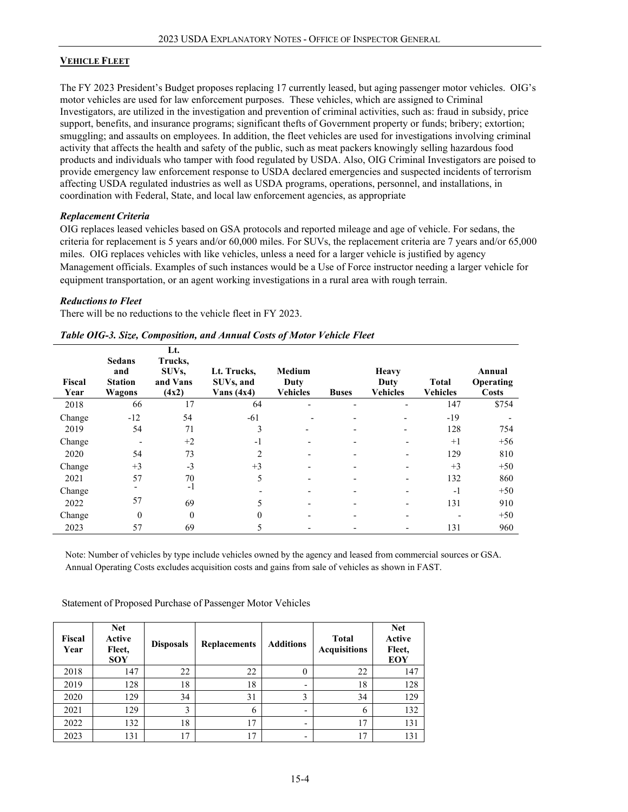### <span id="page-3-0"></span>**VEHICLE FLEET**

The FY 2023 President's Budget proposes replacing 17 currently leased, but aging passenger motor vehicles. OIG's motor vehicles are used for law enforcement purposes. These vehicles, which are assigned to Criminal Investigators, are utilized in the investigation and prevention of criminal activities, such as: fraud in subsidy, price support, benefits, and insurance programs; significant thefts of Government property or funds; bribery; extortion; smuggling; and assaults on employees. In addition, the fleet vehicles are used for investigations involving criminal activity that affects the health and safety of the public, such as meat packers knowingly selling hazardous food products and individuals who tamper with food regulated by USDA. Also, OIG Criminal Investigators are poised to provide emergency law enforcement response to USDA declared emergencies and suspected incidents of terrorism affecting USDA regulated industries as well as USDA programs, operations, personnel, and installations, in coordination with Federal, State, and local law enforcement agencies, as appropriate

### *Replacement Criteria*

OIG replaces leased vehicles based on GSA protocols and reported mileage and age of vehicle. For sedans, the criteria for replacement is 5 years and/or 60,000 miles. For SUVs, the replacement criteria are 7 years and/or 65,000 miles. OIG replaces vehicles with like vehicles, unless a need for a larger vehicle is justified by agency Management officials. Examples of such instances would be a Use of Force instructor needing a larger vehicle for equipment transportation, or an agent working investigations in a rural area with rough terrain.

### *Reductions to Fleet*

There will be no reductions to the vehicle fleet in FY 2023.

| Fiscal<br>Year | <b>Sedans</b><br>and<br><b>Station</b><br>Wagons | Lt.<br>Trucks,<br>SUVs.<br>and Vans<br>(4x2) | Lt. Trucks,<br>SUVs, and<br>Vans $(4x4)$ | Medium<br>Duty<br><b>Vehicles</b> | <b>Buses</b>             | <b>Heavy</b><br>Duty<br><b>Vehicles</b> | <b>Total</b><br><b>Vehicles</b> | Annual<br>Operating<br><b>Costs</b> |
|----------------|--------------------------------------------------|----------------------------------------------|------------------------------------------|-----------------------------------|--------------------------|-----------------------------------------|---------------------------------|-------------------------------------|
| 2018           | 66                                               | 17                                           | 64                                       | $\qquad \qquad \blacksquare$      | $\overline{\phantom{0}}$ | $\overline{\phantom{0}}$                | 147                             | \$754                               |
| Change         | $-12$                                            | 54                                           | $-61$                                    |                                   |                          | $\overline{\phantom{a}}$                | $-19$                           |                                     |
| 2019           | 54                                               | 71                                           | 3                                        | $\qquad \qquad \blacksquare$      |                          | $\overline{\phantom{a}}$                | 128                             | 754                                 |
| Change         |                                                  | $+2$                                         | $-1$                                     |                                   |                          |                                         | $+1$                            | $+56$                               |
| 2020           | 54                                               | 73                                           | 2                                        |                                   | -                        | $\overline{\phantom{a}}$                | 129                             | 810                                 |
| Change         | $+3$                                             | $-3$                                         | $+3$                                     |                                   |                          |                                         | $+3$                            | $+50$                               |
| 2021           | 57                                               | 70                                           | 5                                        | $\overline{\phantom{0}}$          | -                        |                                         | 132                             | 860                                 |
| Change         |                                                  | $-1$                                         |                                          |                                   |                          |                                         | $-1$                            | $+50$                               |
| 2022           | 57                                               | 69                                           | 5                                        |                                   | -                        |                                         | 131                             | 910                                 |
| Change         | $\theta$                                         | $\theta$                                     | 0                                        |                                   |                          |                                         |                                 | $+50$                               |
| 2023           | 57                                               | 69                                           |                                          |                                   |                          |                                         | 131                             | 960                                 |

#### *Table OIG-3. Size, Composition, and Annual Costs of Motor Vehicle Fleet*

Note: Number of vehicles by type include vehicles owned by the agency and leased from commercial sources or GSA. Annual Operating Costs excludes acquisition costs and gains from sale of vehicles as shown in FAST.

<span id="page-3-1"></span>

| Fiscal<br>Year | <b>Net</b><br>Active<br>Fleet,<br><b>SOY</b> | <b>Disposals</b> | <b>Replacements</b> | <b>Additions</b> | <b>Total</b><br><b>Acquisitions</b> | <b>Net</b><br>Active<br>Fleet,<br>EOY |
|----------------|----------------------------------------------|------------------|---------------------|------------------|-------------------------------------|---------------------------------------|
| 2018           | 147                                          | 22               | 22                  | 0                | 22                                  | 147                                   |
| 2019           | 128                                          | 18               | 18                  |                  | 18                                  | 128                                   |
| 2020           | 129                                          | 34               | 31                  | 3                | 34                                  | 129                                   |
| 2021           | 129                                          | 3                | 6                   | -                | 6                                   | 132                                   |
| 2022           | 132                                          | 18               | 17                  |                  | 17                                  | 131                                   |
| 2023           | 131                                          | 17               | 17                  |                  | 17                                  | 131                                   |

Statement of Proposed Purchase of Passenger Motor Vehicles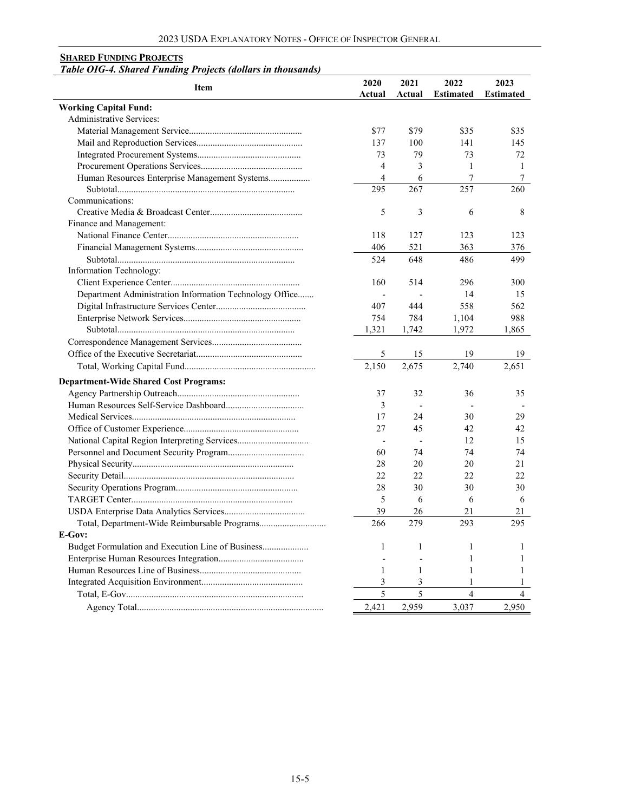#### **SHARED FUNDING PROJECTS**

#### *Table OIG-4. Shared Funding Projects (dollars in thousands)*

| <b>Item</b>                                             | 2020           | 2021           | 2022             | 2023             |
|---------------------------------------------------------|----------------|----------------|------------------|------------------|
|                                                         | Actual         | Actual         | <b>Estimated</b> | <b>Estimated</b> |
| <b>Working Capital Fund:</b>                            |                |                |                  |                  |
| <b>Administrative Services:</b>                         |                |                |                  |                  |
|                                                         | \$77           | \$79           | \$35             | \$35             |
|                                                         | 137            | 100            | 141              | 145              |
|                                                         | 73             | 79             | 73               | 72               |
|                                                         | $\overline{4}$ | 3              | $\mathbf{1}$     | $\mathbf{1}$     |
| Human Resources Enterprise Management Systems           | 4              | 6              | 7                | 7                |
|                                                         | 295            | 267            | 257              | 260              |
| Communications:                                         |                |                |                  |                  |
|                                                         | 5              | 3              | 6                | 8                |
| Finance and Management:                                 |                |                |                  |                  |
|                                                         | 118            | 127            | 123              | 123              |
|                                                         | 406            | 521            | 363              | 376              |
|                                                         | 524            | 648            | 486              | 499              |
| <b>Information Technology:</b>                          |                |                |                  |                  |
|                                                         | 160            | 514            | 296              | 300              |
| Department Administration Information Technology Office | $\frac{1}{2}$  |                | 14               | 15               |
|                                                         | 407            | 444            | 558              | 562              |
|                                                         | 754            | 784            | 1,104            | 988              |
|                                                         | 1,321          | 1,742          | 1,972            | 1,865            |
|                                                         |                |                |                  |                  |
|                                                         | 5              | 15             | 19               | 19               |
|                                                         | 2,150          | 2,675          | 2,740            | 2,651            |
| <b>Department-Wide Shared Cost Programs:</b>            |                |                |                  |                  |
|                                                         | 37             | 32             | 36               | 35               |
|                                                         | 3              |                |                  |                  |
|                                                         | 17             | 24             | 30               | 29               |
|                                                         | 27             | 45             | 42               | 42               |
|                                                         |                | $\overline{a}$ | 12               | 15               |
|                                                         | 60             | 74             | 74               | 74               |
|                                                         | 28             | 20             | 20               | 21               |
|                                                         | 22             | 22             | 22               | 22               |
|                                                         | 28             | 30             | 30               | 30               |
|                                                         | 5              | 6              | 6                | 6                |
|                                                         | 39             | 26             | 21               | 21               |
| Total, Department-Wide Reimbursable Programs            | 266            | 279            | 293              | 295              |
| E-Gov:                                                  |                |                |                  |                  |
| Budget Formulation and Execution Line of Business       | 1              | $\mathbf{1}$   | $\mathbf{1}$     | 1                |
|                                                         |                |                | 1                | 1                |
|                                                         | 1              | 1              | $\mathbf{1}$     | 1                |
|                                                         | 3              | 3              | 1                | 1                |
|                                                         | 5              | 5              | $\overline{4}$   | $\overline{4}$   |
|                                                         |                |                |                  |                  |
|                                                         | 2.421          | 2,959          | 3,037            | 2,950            |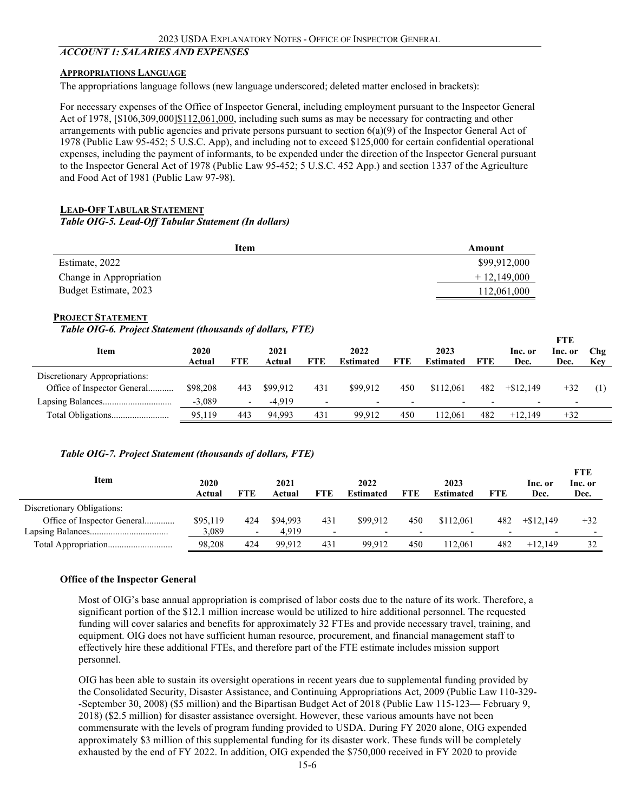### <span id="page-5-1"></span><span id="page-5-0"></span>*ACCOUNT 1: SALARIES AND EXPENSES*

#### **APPROPRIATIONS LANGUAGE**

The appropriations language follows (new language underscored; deleted matter enclosed in brackets):

For necessary expenses of the Office of Inspector General, including employment pursuant to the Inspector General Act of 1978, [\$106,309,000] \$112,061,000, including such sums as may be necessary for contracting and other arrangements with public agencies and private persons pursuant to section 6(a)(9) of the Inspector General Act of 1978 (Public Law 95-452; 5 U.S.C. App), and including not to exceed \$125,000 for certain confidential operational expenses, including the payment of informants, to be expended under the direction of the Inspector General pursuant to the Inspector General Act of 1978 (Public Law 95-452; 5 U.S.C. 452 App.) and section 1337 of the Agriculture and Food Act of 1981 (Public Law 97-98).

#### <span id="page-5-2"></span>**LEAD-OFF TABULAR STATEMENT**

*Table OIG-5. Lead-Off Tabular Statement (In dollars)*

<span id="page-5-3"></span>

| Item                    | Amount        |
|-------------------------|---------------|
| Estimate, 2022          | \$99,912,000  |
| Change in Appropriation | $+12.149.000$ |
| Budget Estimate, 2023   | 112,061,000   |
|                         |               |

#### **PROJECT STATEMENT**

#### *Table OIG-6. Project Statement (thousands of dollars, FTE)*

|                               |                |     |                |                          |                          |            |                          |                          |                          | <b>FTE</b>               |            |
|-------------------------------|----------------|-----|----------------|--------------------------|--------------------------|------------|--------------------------|--------------------------|--------------------------|--------------------------|------------|
| Item                          | 2020<br>Actual | FTE | 2021<br>Actual | <b>FTE</b>               | 2022<br><b>Estimated</b> | <b>FTE</b> | 2023<br><b>Estimated</b> | FTE                      | Inc. or<br>Dec.          | Inc. or<br>Dec.          | Chg<br>Key |
| Discretionary Appropriations: |                |     |                |                          |                          |            |                          |                          |                          |                          |            |
| Office of Inspector General   | \$98,208       | 443 | \$99.912       | 431                      | \$99.912                 | 450        | \$112,061                | 482                      | $+ $12.149$              | $+32$                    |            |
|                               | $-3,089$       |     | $-4.919$       | $\overline{\phantom{a}}$ | $\overline{\phantom{0}}$ | -          | $\overline{\phantom{0}}$ | $\overline{\phantom{0}}$ | $\overline{\phantom{0}}$ | $\overline{\phantom{0}}$ |            |
|                               | 95,119         | 443 | 94.993         | 431                      | 99.912                   | 450        | 112.061                  | 482                      | $+12.149$                | $+32$                    |            |

#### *Table OIG-7. Project Statement (thousands of dollars, FTE)*

| Item                        | 2020<br>Actual | FTE                      | 2021<br>Actual | <b>FTE</b>               | 2022<br><b>Estimated</b> | <b>FTE</b>               | 2023<br><b>Estimated</b> | FTE | Inc. or<br>Dec. | <b>FTE</b><br>Inc. or<br>Dec. |
|-----------------------------|----------------|--------------------------|----------------|--------------------------|--------------------------|--------------------------|--------------------------|-----|-----------------|-------------------------------|
| Discretionary Obligations:  |                |                          |                |                          |                          |                          |                          |     |                 |                               |
| Office of Inspector General | \$95,119       | 424                      | \$94.993       | 431                      | \$99,912                 | 450                      | \$112,061                | 482 | $+\$12.149$     | $+32$                         |
|                             | 3.089          | $\overline{\phantom{0}}$ | 4.919          | $\overline{\phantom{0}}$ | -                        | $\overline{\phantom{0}}$ |                          |     |                 |                               |
|                             | 98,208         | 424                      | 99.912         | 431                      | 99.912                   | 450                      | 12.061                   | 482 | $+12.149$       | 32                            |

#### **Office of the Inspector General**

Most of OIG's base annual appropriation is comprised of labor costs due to the nature of its work. Therefore, a significant portion of the \$12.1 million increase would be utilized to hire additional personnel. The requested funding will cover salaries and benefits for approximately 32 FTEs and provide necessary travel, training, and equipment. OIG does not have sufficient human resource, procurement, and financial management staff to effectively hire these additional FTEs, and therefore part of the FTE estimate includes mission support personnel.

OIG has been able to sustain its oversight operations in recent years due to supplemental funding provided by the Consolidated Security, Disaster Assistance, and Continuing Appropriations Act, 2009 (Public Law 110-329- -September 30, 2008) (\$5 million) and the Bipartisan Budget Act of 2018 (Public Law 115-123— February 9, 2018) (\$2.5 million) for disaster assistance oversight. However, these various amounts have not been commensurate with the levels of program funding provided to USDA. During FY 2020 alone, OIG expended approximately \$3 million of this supplemental funding for its disaster work. These funds will be completely exhausted by the end of FY 2022. In addition, OIG expended the \$750,000 received in FY 2020 to provide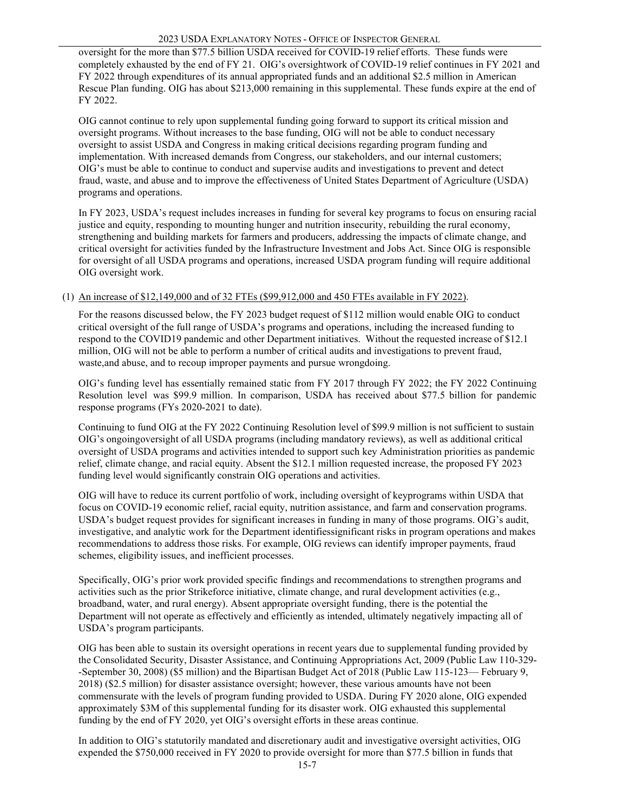oversight for the more than \$77.5 billion USDA received for COVID-19 relief efforts. These funds were completely exhausted by the end of FY 21. OIG's oversightwork of COVID-19 relief continues in FY 2021 and FY 2022 through expenditures of its annual appropriated funds and an additional \$2.5 million in American Rescue Plan funding. OIG has about \$213,000 remaining in this supplemental. These funds expire at the end of FY 2022.

OIG cannot continue to rely upon supplemental funding going forward to support its critical mission and oversight programs. Without increases to the base funding, OIG will not be able to conduct necessary oversight to assist USDA and Congress in making critical decisions regarding program funding and implementation. With increased demands from Congress, our stakeholders, and our internal customers; OIG's must be able to continue to conduct and supervise audits and investigations to prevent and detect fraud, waste, and abuse and to improve the effectiveness of United States Department of Agriculture (USDA) programs and operations.

In FY 2023, USDA's request includes increases in funding for several key programs to focus on ensuring racial justice and equity, responding to mounting hunger and nutrition insecurity, rebuilding the rural economy, strengthening and building markets for farmers and producers, addressing the impacts of climate change, and critical oversight for activities funded by the Infrastructure Investment and Jobs Act. Since OIG is responsible for oversight of all USDA programs and operations, increased USDA program funding will require additional OIG oversight work.

#### (1) An increase of \$12,149,000 and of 32 FTEs (\$99,912,000 and 450 FTEs available in FY 2022).

For the reasons discussed below, the FY 2023 budget request of \$112 million would enable OIG to conduct critical oversight of the full range of USDA's programs and operations, including the increased funding to respond to the COVID19 pandemic and other Department initiatives. Without the requested increase of \$12.1 million, OIG will not be able to perform a number of critical audits and investigations to prevent fraud, waste,and abuse, and to recoup improper payments and pursue wrongdoing.

OIG's funding level has essentially remained static from FY 2017 through FY 2022; the FY 2022 Continuing Resolution level was \$99.9 million. In comparison, USDA has received about \$77.5 billion for pandemic response programs (FYs 2020-2021 to date).

Continuing to fund OIG at the FY 2022 Continuing Resolution level of \$99.9 million is not sufficient to sustain OIG's ongoingoversight of all USDA programs (including mandatory reviews), as well as additional critical oversight of USDA programs and activities intended to support such key Administration priorities as pandemic relief, climate change, and racial equity. Absent the \$12.1 million requested increase, the proposed FY 2023 funding level would significantly constrain OIG operations and activities.

OIG will have to reduce its current portfolio of work, including oversight of keyprograms within USDA that focus on COVID-19 economic relief, racial equity, nutrition assistance, and farm and conservation programs. USDA's budget request provides for significant increases in funding in many of those programs. OIG's audit, investigative, and analytic work for the Department identifiessignificant risks in program operations and makes recommendations to address those risks. For example, OIG reviews can identify improper payments, fraud schemes, eligibility issues, and inefficient processes.

Specifically, OIG's prior work provided specific findings and recommendations to strengthen programs and activities such as the prior Strikeforce initiative, climate change, and rural development activities (e.g., broadband, water, and rural energy). Absent appropriate oversight funding, there is the potential the Department will not operate as effectively and efficiently as intended, ultimately negatively impacting all of USDA's program participants.

OIG has been able to sustain its oversight operations in recent years due to supplemental funding provided by the Consolidated Security, Disaster Assistance, and Continuing Appropriations Act, 2009 (Public Law 110-329- -September 30, 2008) (\$5 million) and the Bipartisan Budget Act of 2018 (Public Law 115-123— February 9, 2018) (\$2.5 million) for disaster assistance oversight; however, these various amounts have not been commensurate with the levels of program funding provided to USDA. During FY 2020 alone, OIG expended approximately \$3M of this supplemental funding for its disaster work. OIG exhausted this supplemental funding by the end of FY 2020, yet OIG's oversight efforts in these areas continue.

In addition to OIG's statutorily mandated and discretionary audit and investigative oversight activities, OIG expended the \$750,000 received in FY 2020 to provide oversight for more than \$77.5 billion in funds that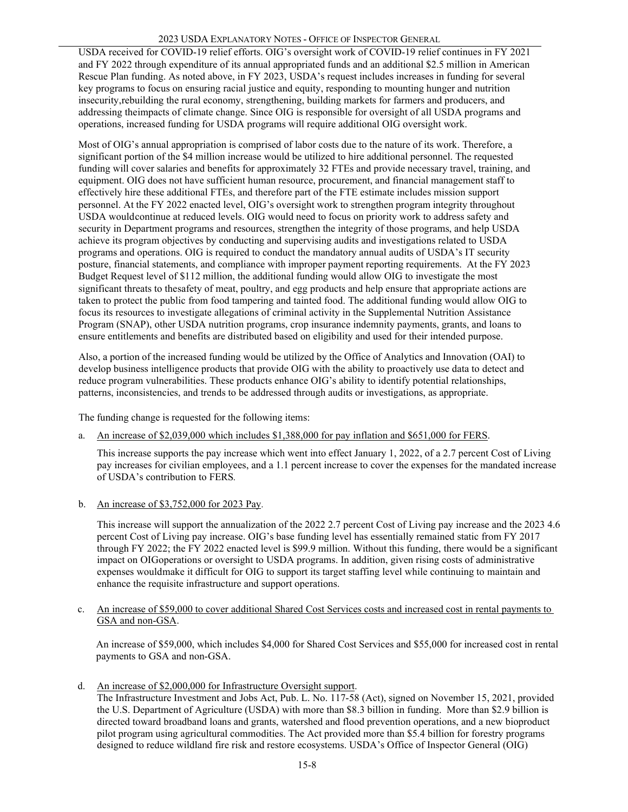### 2023 USDA EXPLANATORY NOTES - OFFICE OF INSPECTOR GENERAL

USDA received for COVID-19 relief efforts. OIG's oversight work of COVID-19 relief continues in FY 2021 and FY 2022 through expenditure of its annual appropriated funds and an additional \$2.5 million in American Rescue Plan funding. As noted above, in FY 2023, USDA's request includes increases in funding for several key programs to focus on ensuring racial justice and equity, responding to mounting hunger and nutrition insecurity,rebuilding the rural economy, strengthening, building markets for farmers and producers, and addressing theimpacts of climate change. Since OIG is responsible for oversight of all USDA programs and operations, increased funding for USDA programs will require additional OIG oversight work.

Most of OIG's annual appropriation is comprised of labor costs due to the nature of its work. Therefore, a significant portion of the \$4 million increase would be utilized to hire additional personnel. The requested funding will cover salaries and benefits for approximately 32 FTEs and provide necessary travel, training, and equipment. OIG does not have sufficient human resource, procurement, and financial management staff to effectively hire these additional FTEs, and therefore part of the FTE estimate includes mission support personnel. At the FY 2022 enacted level, OIG's oversight work to strengthen program integrity throughout USDA would continue at reduced levels. OIG would need to focus on priority work to address safety and security in Department programs and resources, strengthen the integrity of those programs, and help USDA achieve its program objectives by conducting and supervising audits and investigations related to USDA programs and operations. OIG is required to conduct the mandatory annual audits of USDA's IT security posture, financial statements, and compliance with improper payment reporting requirements. At the FY 2023 Budget Request level of \$112 million, the additional funding would allow OIG to investigate the most significant threats to thesafety of meat, poultry, and egg products and help ensure that appropriate actions are taken to protect the public from food tampering and tainted food. The additional funding would allow OIG to focus its resources to investigate allegations of criminal activity in the Supplemental Nutrition Assistance Program (SNAP), other USDA nutrition programs, crop insurance indemnity payments, grants, and loans to ensure entitlements and benefits are distributed based on eligibility and used for their intended purpose.

Also, a portion of the increased funding would be utilized by the Office of Analytics and Innovation (OAI) to develop business intelligence products that provide OIG with the ability to proactively use data to detect and reduce program vulnerabilities. These products enhance OIG's ability to identify potential relationships, patterns, inconsistencies, and trends to be addressed through audits or investigations, as appropriate.

The funding change is requested for the following items:

a. An increase of \$2,039,000 which includes \$1,388,000 for pay inflation and \$651,000 for FERS.

This increase supports the pay increase which went into effect January 1, 2022, of a 2.7 percent Cost of Living pay increases for civilian employees, and a 1.1 percent increase to cover the expenses for the mandated increase of USDA's contribution to FERS*.*

b. An increase of \$3,752,000 for 2023 Pay.

This increase will support the annualization of the 2022 2.7 percent Cost of Living pay increase and the 2023 4.6 percent Cost of Living pay increase. OIG's base funding level has essentially remained static from FY 2017 through FY 2022; the FY 2022 enacted level is \$99.9 million. Without this funding, there would be a significant impact on OIGoperations or oversight to USDA programs. In addition, given rising costs of administrative expenses wouldmake it difficult for OIG to support its target staffing level while continuing to maintain and enhance the requisite infrastructure and support operations.

c. An increase of \$59,000 to cover additional Shared Cost Services costs and increased cost in rental payments to GSA and non-GSA.

An increase of \$59,000, which includes \$4,000 for Shared Cost Services and \$55,000 for increased cost in rental payments to GSA and non-GSA.

d. An increase of \$2,000,000 for Infrastructure Oversight support.

The Infrastructure Investment and Jobs Act, Pub. L. No. 117-58 (Act), signed on November 15, 2021, provided the U.S. Department of Agriculture (USDA) with more than \$8.3 billion in funding. More than \$2.9 billion is directed toward broadband loans and grants, watershed and flood prevention operations, and a new bioproduct pilot program using agricultural commodities. The Act provided more than \$5.4 billion for forestry programs designed to reduce wildland fire risk and restore ecosystems. USDA's Office of Inspector General (OIG)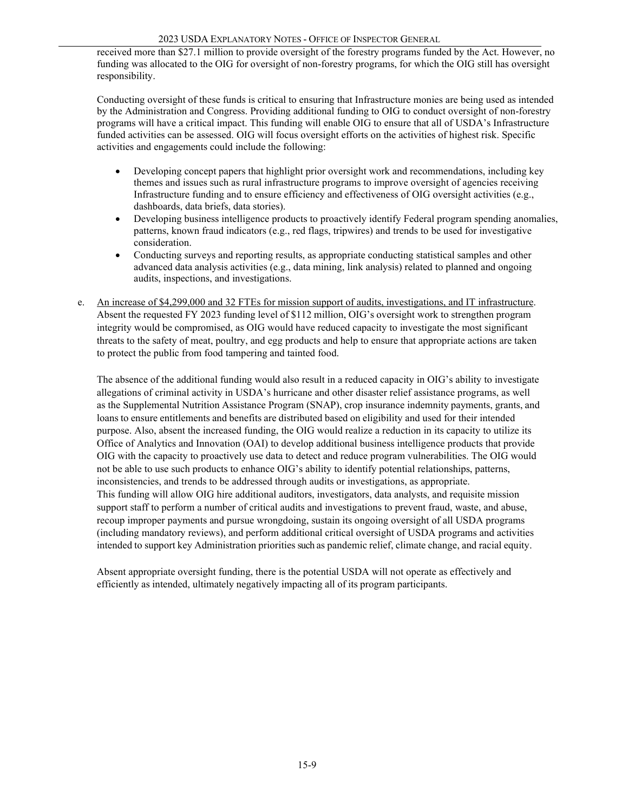received more than \$27.1 million to provide oversight of the forestry programs funded by the Act. However, no funding was allocated to the OIG for oversight of non-forestry programs, for which the OIG still has oversight responsibility.

Conducting oversight of these funds is critical to ensuring that Infrastructure monies are being used as intended by the Administration and Congress. Providing additional funding to OIG to conduct oversight of non-forestry programs will have a critical impact. This funding will enable OIG to ensure that all of USDA's Infrastructure funded activities can be assessed. OIG will focus oversight efforts on the activities of highest risk. Specific activities and engagements could include the following:

- Developing concept papers that highlight prior oversight work and recommendations, including key themes and issues such as rural infrastructure programs to improve oversight of agencies receiving Infrastructure funding and to ensure efficiency and effectiveness of OIG oversight activities (e.g., dashboards, data briefs, data stories).
- Developing business intelligence products to proactively identify Federal program spending anomalies, patterns, known fraud indicators (e.g., red flags, tripwires) and trends to be used for investigative consideration.
- Conducting surveys and reporting results, as appropriate conducting statistical samples and other advanced data analysis activities (e.g., data mining, link analysis) related to planned and ongoing audits, inspections, and investigations.
- e. An increase of \$4,299,000 and 32 FTEs for mission support of audits, investigations, and IT infrastructure. Absent the requested FY 2023 funding level of \$112 million, OIG's oversight work to strengthen program integrity would be compromised, as OIG would have reduced capacity to investigate the most significant threats to the safety of meat, poultry, and egg products and help to ensure that appropriate actions are taken to protect the public from food tampering and tainted food.

The absence of the additional funding would also result in a reduced capacity in OIG's ability to investigate allegations of criminal activity in USDA's hurricane and other disaster relief assistance programs, as well as the Supplemental Nutrition Assistance Program (SNAP), crop insurance indemnity payments, grants, and loans to ensure entitlements and benefits are distributed based on eligibility and used for their intended purpose. Also, absent the increased funding, the OIG would realize a reduction in its capacity to utilize its Office of Analytics and Innovation (OAI) to develop additional business intelligence products that provide OIG with the capacity to proactively use data to detect and reduce program vulnerabilities. The OIG would not be able to use such products to enhance OIG's ability to identify potential relationships, patterns, inconsistencies, and trends to be addressed through audits or investigations, as appropriate. This funding will allow OIG hire additional auditors, investigators, data analysts, and requisite mission support staff to perform a number of critical audits and investigations to prevent fraud, waste, and abuse, recoup improper payments and pursue wrongdoing, sustain its ongoing oversight of all USDA programs (including mandatory reviews), and perform additional critical oversight of USDA programs and activities intended to support key Administration priorities such as pandemic relief, climate change, and racial equity.

Absent appropriate oversight funding, there is the potential USDA will not operate as effectively and efficiently as intended, ultimately negatively impacting all of its program participants.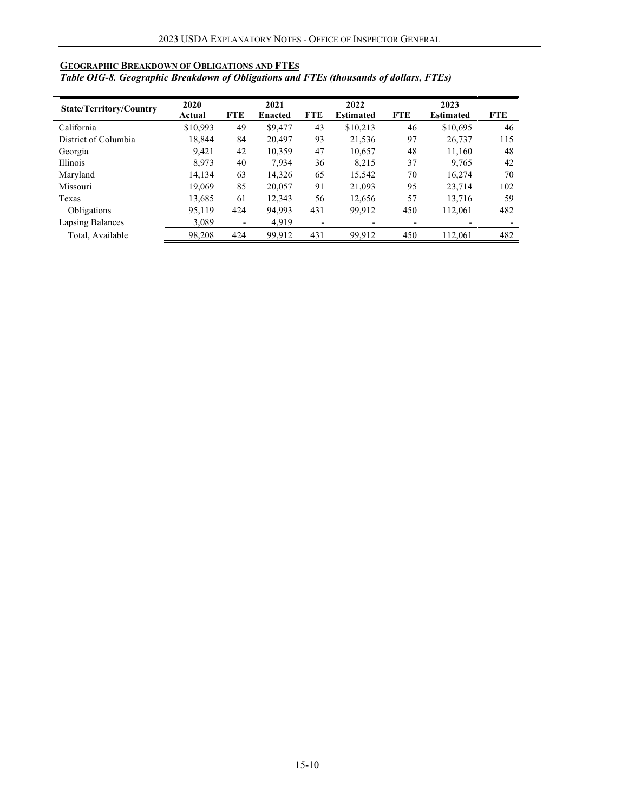### <span id="page-9-0"></span>**GEOGRAPHIC BREAKDOWN OF OBLIGATIONS AND FTES**

*Table OIG-8. Geographic Breakdown of Obligations and FTEs (thousands of dollars, FTEs)* 

|                                | 2020     |            | 2021           |            | 2022             |            | 2023             |            |
|--------------------------------|----------|------------|----------------|------------|------------------|------------|------------------|------------|
| <b>State/Territory/Country</b> | Actual   | <b>FTE</b> | <b>Enacted</b> | <b>FTE</b> | <b>Estimated</b> | <b>FTE</b> | <b>Estimated</b> | <b>FTE</b> |
| California                     | \$10,993 | 49         | \$9,477        | 43         | \$10,213         | 46         | \$10,695         | 46         |
| District of Columbia           | 18,844   | 84         | 20.497         | 93         | 21,536           | 97         | 26,737           | 115        |
| Georgia                        | 9,421    | 42         | 10,359         | 47         | 10,657           | 48         | 11,160           | 48         |
| Illinois                       | 8,973    | 40         | 7,934          | 36         | 8,215            | 37         | 9,765            | 42         |
| Maryland                       | 14,134   | 63         | 14,326         | 65         | 15,542           | 70         | 16,274           | 70         |
| Missouri                       | 19,069   | 85         | 20,057         | 91         | 21,093           | 95         | 23,714           | 102        |
| Texas                          | 13,685   | 61         | 12,343         | 56         | 12,656           | 57         | 13.716           | 59         |
| Obligations                    | 95,119   | 424        | 94,993         | 431        | 99,912           | 450        | 112,061          | 482        |
| Lapsing Balances               | 3.089    |            | 4.919          |            |                  |            |                  |            |
| Total, Available               | 98,208   | 424        | 99,912         | 431        | 99,912           | 450        | 112,061          | 482        |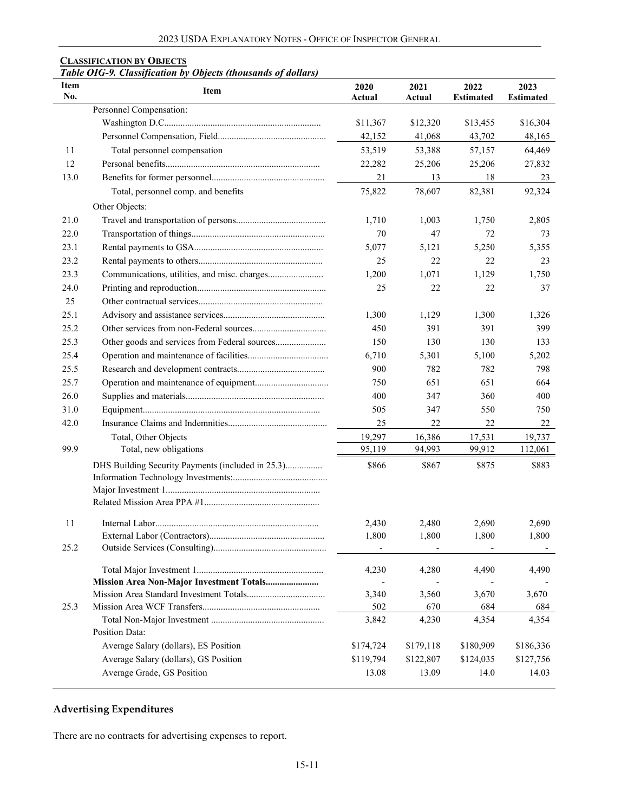#### <span id="page-10-0"></span>**CLASSIFICATION BY OBJECTS**

*Table OIG-9. Classification by Objects (thousands of dollars)*

| <b>Item</b><br>2020<br><b>Item</b><br>No.<br>Actual        | 2021<br>Actual | 2022<br><b>Estimated</b> | 2023<br><b>Estimated</b> |
|------------------------------------------------------------|----------------|--------------------------|--------------------------|
| Personnel Compensation:                                    |                |                          |                          |
| \$11,367                                                   | \$12,320       | \$13,455                 | \$16,304                 |
| 42,152                                                     | 41,068         | 43,702                   | 48,165                   |
| Total personnel compensation<br>11<br>53,519               | 53,388         | 57,157                   | 64,469                   |
| 12<br>22,282                                               | 25,206         | 25,206                   | 27,832                   |
| 13.0<br>21                                                 | 13             | 18                       | 23                       |
| 75,822<br>Total, personnel comp. and benefits              | 78,607         | 82,381                   | 92,324                   |
| Other Objects:                                             |                |                          |                          |
| 21.0<br>1,710                                              | 1,003          | 1,750                    | 2,805                    |
| 22.0<br>70                                                 | 47             | 72                       | 73                       |
| 23.1<br>5,077                                              | 5,121          | 5,250                    | 5,355                    |
| 23.2<br>25                                                 | 22             | 22                       | 23                       |
| 23.3<br>1,200                                              | 1,071          | 1,129                    | 1,750                    |
| 24.0<br>25                                                 | 22             | 22                       | 37                       |
| 25                                                         |                |                          |                          |
| 25.1<br>1,300                                              | 1,129          | 1,300                    | 1,326                    |
| 25.2<br>450                                                | 391            | 391                      | 399                      |
| 25.3<br>150                                                | 130            | 130                      | 133                      |
| 25.4<br>6,710                                              | 5,301          | 5,100                    | 5,202                    |
| 25.5<br>900                                                | 782            | 782                      | 798                      |
| 25.7<br>750                                                | 651            | 651                      | 664                      |
| 26.0<br>400                                                | 347            | 360                      | 400                      |
| 31.0<br>505                                                | 347            | 550                      | 750                      |
| 25<br>42.0                                                 | 22             | 22                       | 22                       |
| 19,297<br>Total, Other Objects                             | 16,386         | 17,531                   | 19,737                   |
| 99.9<br>Total, new obligations<br>95,119                   | 94,993         | 99,912                   | 112,061                  |
| DHS Building Security Payments (included in 25.3)<br>\$866 | \$867          | \$875                    | \$883                    |
|                                                            |                |                          |                          |
|                                                            |                |                          |                          |
|                                                            |                |                          |                          |
| 11<br>2,430                                                | 2,480          | 2,690                    | 2,690                    |
| 1,800                                                      | 1,800          | 1,800                    | 1,800                    |
| 25.2                                                       |                |                          |                          |
| 4,230                                                      | 4,280          | 4,490                    | 4,490                    |
|                                                            |                |                          |                          |
| 3,340                                                      | 3,560          | 3,670                    | 3,670                    |
| 25.3<br>502                                                | 670            | 684                      | 684                      |
| 3,842                                                      | 4,230          | 4,354                    | 4,354                    |
| Position Data:                                             |                |                          |                          |
| Average Salary (dollars), ES Position<br>\$174,724         | \$179,118      | \$180,909                | \$186,336                |
| Average Salary (dollars), GS Position<br>\$119,794         | \$122,807      | \$124,035                | \$127,756                |
| Average Grade, GS Position<br>13.08                        | 13.09          | 14.0                     | 14.03                    |

## **Advertising Expenditures**

There are no contracts for advertising expenses to report.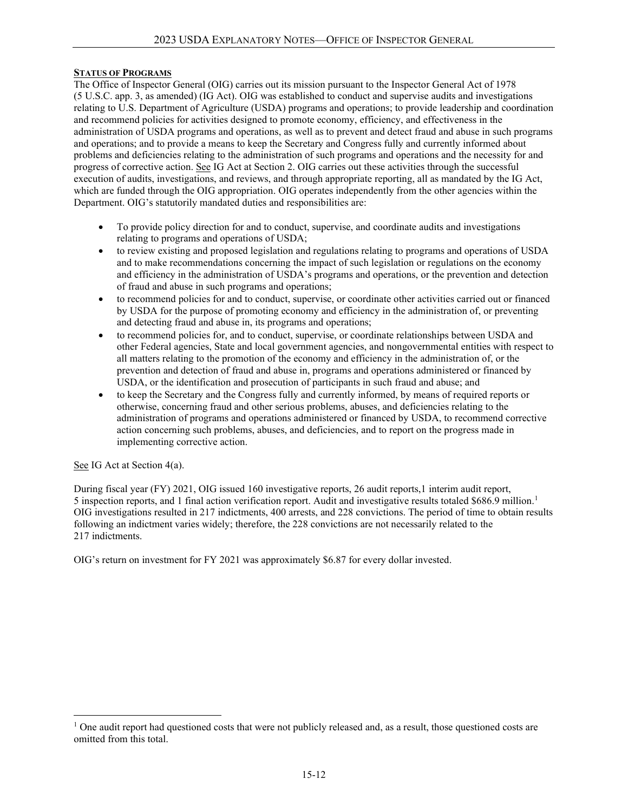### **STATUS OF PROGRAMS**

The Office of Inspector General (OIG) carries out its mission pursuant to the Inspector General Act of 1978 (5 U.S.C. app. 3, as amended) (IG Act). OIG was established to conduct and supervise audits and investigations relating to U.S. Department of Agriculture (USDA) programs and operations; to provide leadership and coordination and recommend policies for activities designed to promote economy, efficiency, and effectiveness in the administration of USDA programs and operations, as well as to prevent and detect fraud and abuse in such programs and operations; and to provide a means to keep the Secretary and Congress fully and currently informed about problems and deficiencies relating to the administration of such programs and operations and the necessity for and progress of corrective action. See IG Act at Section 2. OIG carries out these activities through the successful execution of audits, investigations, and reviews, and through appropriate reporting, all as mandated by the IG Act, which are funded through the OIG appropriation. OIG operates independently from the other agencies within the Department. OIG's statutorily mandated duties and responsibilities are:

- To provide policy direction for and to conduct, supervise, and coordinate audits and investigations relating to programs and operations of USDA;
- to review existing and proposed legislation and regulations relating to programs and operations of USDA and to make recommendations concerning the impact of such legislation or regulations on the economy and efficiency in the administration of USDA's programs and operations, or the prevention and detection of fraud and abuse in such programs and operations;
- to recommend policies for and to conduct, supervise, or coordinate other activities carried out or financed by USDA for the purpose of promoting economy and efficiency in the administration of, or preventing and detecting fraud and abuse in, its programs and operations;
- to recommend policies for, and to conduct, supervise, or coordinate relationships between USDA and other Federal agencies, State and local government agencies, and nongovernmental entities with respect to all matters relating to the promotion of the economy and efficiency in the administration of, or the prevention and detection of fraud and abuse in, programs and operations administered or financed by USDA, or the identification and prosecution of participants in such fraud and abuse; and
- to keep the Secretary and the Congress fully and currently informed, by means of required reports or otherwise, concerning fraud and other serious problems, abuses, and deficiencies relating to the administration of programs and operations administered or financed by USDA, to recommend corrective action concerning such problems, abuses, and deficiencies, and to report on the progress made in implementing corrective action.

#### See IG Act at Section 4(a).

During fiscal year (FY) 2021, OIG issued 160 investigative reports, 26 audit reports,1 interim audit report, 5 inspection reports, and [1](#page-11-0) final action verification report. Audit and investigative results totaled \$686.9 million.<sup>1</sup> OIG investigations resulted in 217 indictments, 400 arrests, and 228 convictions. The period of time to obtain results following an indictment varies widely; therefore, the 228 convictions are not necessarily related to the 217 indictments.

OIG's return on investment for FY 2021 was approximately \$6.87 for every dollar invested.

<span id="page-11-0"></span><sup>&</sup>lt;sup>1</sup> One audit report had questioned costs that were not publicly released and, as a result, those questioned costs are omitted from this total.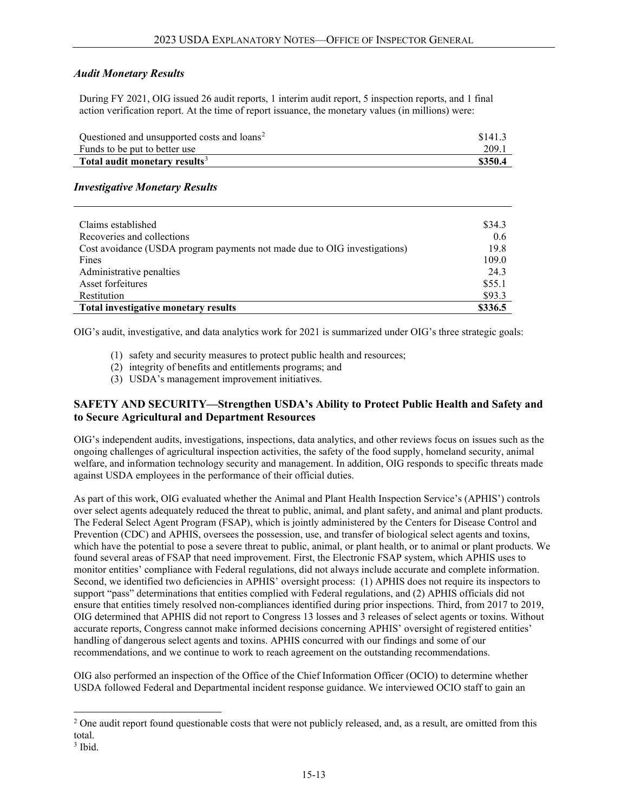### *Audit Monetary Results*

During FY 2021, OIG issued 26 audit reports, 1 interim audit report, 5 inspection reports, and 1 final action verification report. At the time of report issuance, the monetary values (in millions) were:

| Questioned and unsupported costs and loans <sup>2</sup> | \$141.3 |
|---------------------------------------------------------|---------|
| Funds to be put to better use                           | 209.1   |
| Total audit monetary results <sup>3</sup>               | \$350.4 |

### *Investigative Monetary Results*

| Claims established                                                        | \$34.3  |
|---------------------------------------------------------------------------|---------|
| Recoveries and collections                                                | 0.6     |
| Cost avoidance (USDA program payments not made due to OIG investigations) | 19.8    |
| Fines                                                                     | 109.0   |
| Administrative penalties                                                  | 24.3    |
| Asset forfeitures                                                         | \$55.1  |
| Restitution                                                               | \$93.3  |
| Total investigative monetary results                                      | \$336.5 |

OIG's audit, investigative, and data analytics work for 2021 is summarized under OIG's three strategic goals:

- (1) safety and security measures to protect public health and resources;
- (2) integrity of benefits and entitlements programs; and
- (3) USDA's management improvement initiatives.

### **SAFETY AND SECURITY—Strengthen USDA's Ability to Protect Public Health and Safety and to Secure Agricultural and Department Resources**

OIG's independent audits, investigations, inspections, data analytics, and other reviews focus on issues such as the ongoing challenges of agricultural inspection activities, the safety of the food supply, homeland security, animal welfare, and information technology security and management. In addition, OIG responds to specific threats made against USDA employees in the performance of their official duties.

As part of this work, OIG evaluated whether the Animal and Plant Health Inspection Service's (APHIS') controls over select agents adequately reduced the threat to public, animal, and plant safety, and animal and plant products. The Federal Select Agent Program (FSAP), which is jointly administered by the Centers for Disease Control and Prevention (CDC) and APHIS, oversees the possession, use, and transfer of biological select agents and toxins, which have the potential to pose a severe threat to public, animal, or plant health, or to animal or plant products. We found several areas of FSAP that need improvement. First, the Electronic FSAP system, which APHIS uses to monitor entities' compliance with Federal regulations, did not always include accurate and complete information. Second, we identified two deficiencies in APHIS' oversight process: (1) APHIS does not require its inspectors to support "pass" determinations that entities complied with Federal regulations, and (2) APHIS officials did not ensure that entities timely resolved non-compliances identified during prior inspections. Third, from 2017 to 2019, OIG determined that APHIS did not report to Congress 13 losses and 3 releases of select agents or toxins. Without accurate reports, Congress cannot make informed decisions concerning APHIS' oversight of registered entities' handling of dangerous select agents and toxins. APHIS concurred with our findings and some of our recommendations, and we continue to work to reach agreement on the outstanding recommendations.

OIG also performed an inspection of the Office of the Chief Information Officer (OCIO) to determine whether USDA followed Federal and Departmental incident response guidance. We interviewed OCIO staff to gain an

<span id="page-12-0"></span> $2$  One audit report found questionable costs that were not publicly released, and, as a result, are omitted from this total.

<span id="page-12-1"></span> $3$  Ibid.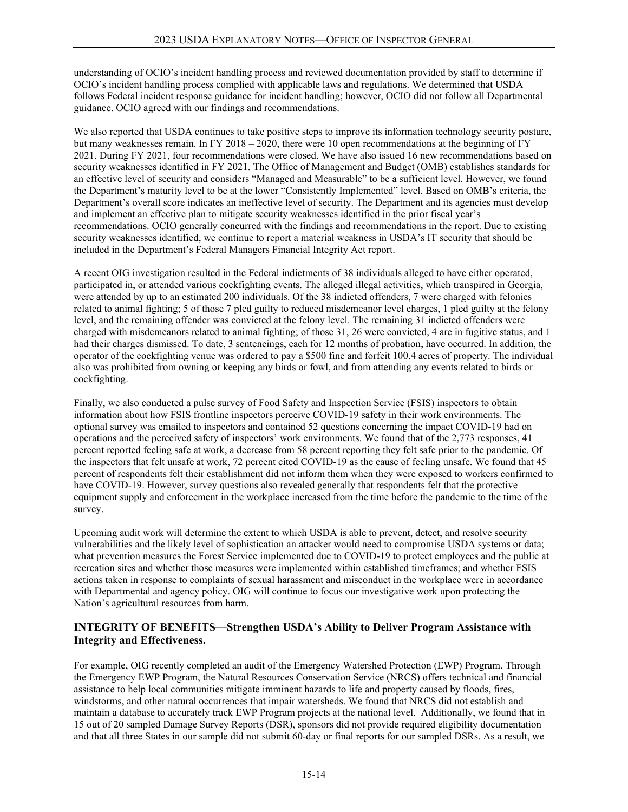understanding of OCIO's incident handling process and reviewed documentation provided by staff to determine if OCIO's incident handling process complied with applicable laws and regulations. We determined that USDA follows Federal incident response guidance for incident handling; however, OCIO did not follow all Departmental guidance. OCIO agreed with our findings and recommendations.

We also reported that USDA continues to take positive steps to improve its information technology security posture, but many weaknesses remain. In FY 2018 – 2020, there were 10 open recommendations at the beginning of FY 2021. During FY 2021, four recommendations were closed. We have also issued 16 new recommendations based on security weaknesses identified in FY 2021. The Office of Management and Budget (OMB) establishes standards for an effective level of security and considers "Managed and Measurable" to be a sufficient level. However, we found the Department's maturity level to be at the lower "Consistently Implemented" level. Based on OMB's criteria, the Department's overall score indicates an ineffective level of security. The Department and its agencies must develop and implement an effective plan to mitigate security weaknesses identified in the prior fiscal year's recommendations. OCIO generally concurred with the findings and recommendations in the report. Due to existing security weaknesses identified, we continue to report a material weakness in USDA's IT security that should be included in the Department's Federal Managers Financial Integrity Act report.

A recent OIG investigation resulted in the Federal indictments of 38 individuals alleged to have either operated, participated in, or attended various cockfighting events. The alleged illegal activities, which transpired in Georgia, were attended by up to an estimated 200 individuals. Of the 38 indicted offenders, 7 were charged with felonies related to animal fighting; 5 of those 7 pled guilty to reduced misdemeanor level charges, 1 pled guilty at the felony level, and the remaining offender was convicted at the felony level. The remaining 31 indicted offenders were charged with misdemeanors related to animal fighting; of those 31, 26 were convicted, 4 are in fugitive status, and 1 had their charges dismissed. To date, 3 sentencings, each for 12 months of probation, have occurred. In addition, the operator of the cockfighting venue was ordered to pay a \$500 fine and forfeit 100.4 acres of property. The individual also was prohibited from owning or keeping any birds or fowl, and from attending any events related to birds or cockfighting.

Finally, we also conducted a pulse survey of Food Safety and Inspection Service (FSIS) inspectors to obtain information about how FSIS frontline inspectors perceive COVID-19 safety in their work environments. The optional survey was emailed to inspectors and contained 52 questions concerning the impact COVID-19 had on operations and the perceived safety of inspectors' work environments. We found that of the 2,773 responses, 41 percent reported feeling safe at work, a decrease from 58 percent reporting they felt safe prior to the pandemic. Of the inspectors that felt unsafe at work, 72 percent cited COVID-19 as the cause of feeling unsafe. We found that 45 percent of respondents felt their establishment did not inform them when they were exposed to workers confirmed to have COVID-19. However, survey questions also revealed generally that respondents felt that the protective equipment supply and enforcement in the workplace increased from the time before the pandemic to the time of the survey.

Upcoming audit work will determine the extent to which USDA is able to prevent, detect, and resolve security vulnerabilities and the likely level of sophistication an attacker would need to compromise USDA systems or data; what prevention measures the Forest Service implemented due to COVID-19 to protect employees and the public at recreation sites and whether those measures were implemented within established timeframes; and whether FSIS actions taken in response to complaints of sexual harassment and misconduct in the workplace were in accordance with Departmental and agency policy. OIG will continue to focus our investigative work upon protecting the Nation's agricultural resources from harm.

### **INTEGRITY OF BENEFITS—Strengthen USDA's Ability to Deliver Program Assistance with Integrity and Effectiveness.**

For example, OIG recently completed an audit of the Emergency Watershed Protection (EWP) Program. Through the Emergency EWP Program, the Natural Resources Conservation Service (NRCS) offers technical and financial assistance to help local communities mitigate imminent hazards to life and property caused by floods, fires, windstorms, and other natural occurrences that impair watersheds. We found that NRCS did not establish and maintain a database to accurately track EWP Program projects at the national level. Additionally, we found that in 15 out of 20 sampled Damage Survey Reports (DSR), sponsors did not provide required eligibility documentation and that all three States in our sample did not submit 60-day or final reports for our sampled DSRs. As a result, we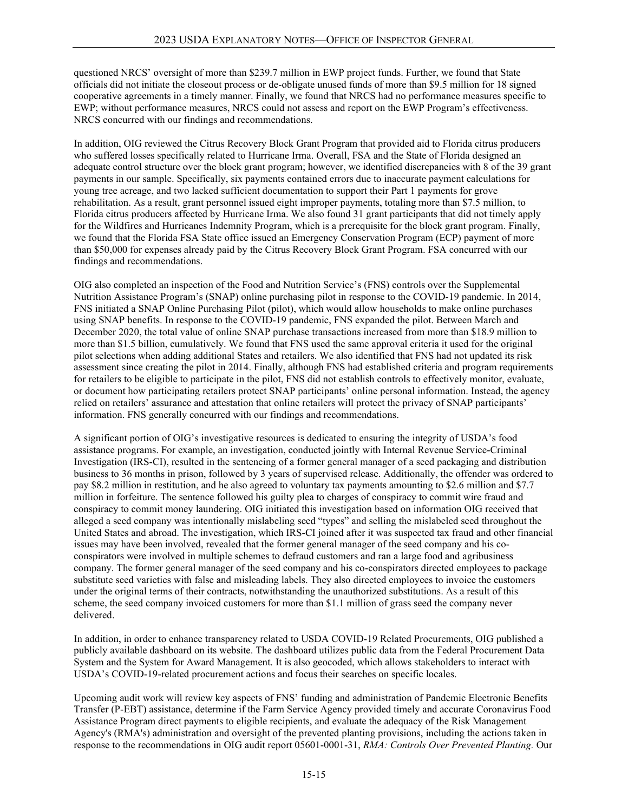questioned NRCS' oversight of more than \$239.7 million in EWP project funds. Further, we found that State officials did not initiate the closeout process or de-obligate unused funds of more than \$9.5 million for 18 signed cooperative agreements in a timely manner. Finally, we found that NRCS had no performance measures specific to EWP; without performance measures, NRCS could not assess and report on the EWP Program's effectiveness. NRCS concurred with our findings and recommendations.

In addition, OIG reviewed the Citrus Recovery Block Grant Program that provided aid to Florida citrus producers who suffered losses specifically related to Hurricane Irma. Overall, FSA and the State of Florida designed an adequate control structure over the block grant program; however, we identified discrepancies with 8 of the 39 grant payments in our sample. Specifically, six payments contained errors due to inaccurate payment calculations for young tree acreage, and two lacked sufficient documentation to support their Part 1 payments for grove rehabilitation. As a result, grant personnel issued eight improper payments, totaling more than \$7.5 million, to Florida citrus producers affected by Hurricane Irma. We also found 31 grant participants that did not timely apply for the Wildfires and Hurricanes Indemnity Program, which is a prerequisite for the block grant program. Finally, we found that the Florida FSA State office issued an Emergency Conservation Program (ECP) payment of more than \$50,000 for expenses already paid by the Citrus Recovery Block Grant Program. FSA concurred with our findings and recommendations.

OIG also completed an inspection of the Food and Nutrition Service's (FNS) controls over the Supplemental Nutrition Assistance Program's (SNAP) online purchasing pilot in response to the COVID-19 pandemic. In 2014, FNS initiated a SNAP Online Purchasing Pilot (pilot), which would allow households to make online purchases using SNAP benefits. In response to the COVID-19 pandemic, FNS expanded the pilot. Between March and December 2020, the total value of online SNAP purchase transactions increased from more than \$18.9 million to more than \$1.5 billion, cumulatively. We found that FNS used the same approval criteria it used for the original pilot selections when adding additional States and retailers. We also identified that FNS had not updated its risk assessment since creating the pilot in 2014. Finally, although FNS had established criteria and program requirements for retailers to be eligible to participate in the pilot, FNS did not establish controls to effectively monitor, evaluate, or document how participating retailers protect SNAP participants' online personal information. Instead, the agency relied on retailers' assurance and attestation that online retailers will protect the privacy of SNAP participants' information. FNS generally concurred with our findings and recommendations.

A significant portion of OIG's investigative resources is dedicated to ensuring the integrity of USDA's food assistance programs. For example, an investigation, conducted jointly with Internal Revenue Service-Criminal Investigation (IRS-CI), resulted in the sentencing of a former general manager of a seed packaging and distribution business to 36 months in prison, followed by 3 years of supervised release. Additionally, the offender was ordered to pay \$8.2 million in restitution, and he also agreed to voluntary tax payments amounting to \$2.6 million and \$7.7 million in forfeiture. The sentence followed his guilty plea to charges of conspiracy to commit wire fraud and conspiracy to commit money laundering. OIG initiated this investigation based on information OIG received that alleged a seed company was intentionally mislabeling seed "types" and selling the mislabeled seed throughout the United States and abroad. The investigation, which IRS-CI joined after it was suspected tax fraud and other financial issues may have been involved, revealed that the former general manager of the seed company and his coconspirators were involved in multiple schemes to defraud customers and ran a large food and agribusiness company. The former general manager of the seed company and his co-conspirators directed employees to package substitute seed varieties with false and misleading labels. They also directed employees to invoice the customers under the original terms of their contracts, notwithstanding the unauthorized substitutions. As a result of this scheme, the seed company invoiced customers for more than \$1.1 million of grass seed the company never delivered.

In addition, in order to enhance transparency related to USDA COVID-19 Related Procurements, OIG published a publicly available dashboard on its website. The dashboard utilizes public data from the Federal Procurement Data System and the System for Award Management. It is also geocoded, which allows stakeholders to interact with USDA's COVID-19-related procurement actions and focus their searches on specific locales.

Upcoming audit work will review key aspects of FNS' funding and administration of Pandemic Electronic Benefits Transfer (P-EBT) assistance, determine if the Farm Service Agency provided timely and accurate Coronavirus Food Assistance Program direct payments to eligible recipients, and evaluate the adequacy of the Risk Management Agency's (RMA's) administration and oversight of the prevented planting provisions, including the actions taken in response to the recommendations in OIG audit report 05601-0001-31, *RMA: Controls Over Prevented Planting.* Our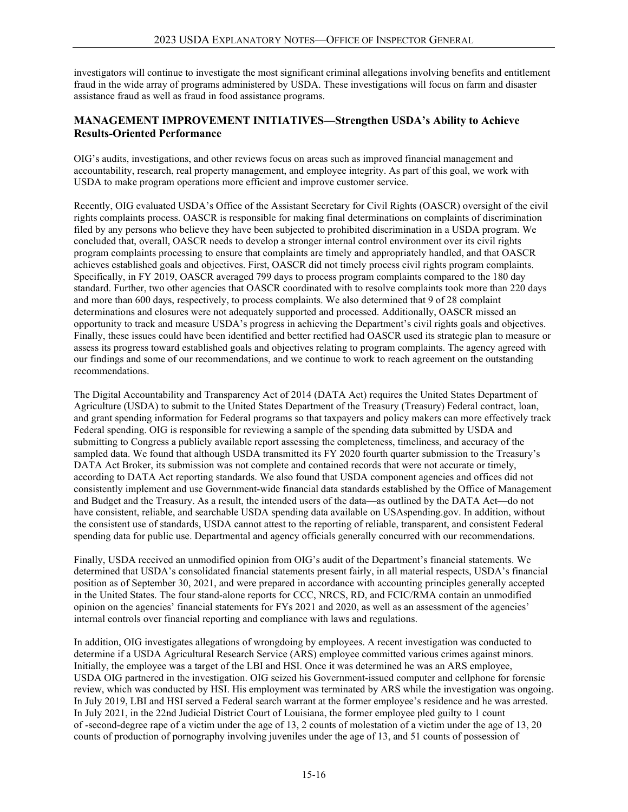investigators will continue to investigate the most significant criminal allegations involving benefits and entitlement fraud in the wide array of programs administered by USDA. These investigations will focus on farm and disaster assistance fraud as well as fraud in food assistance programs.

### **MANAGEMENT IMPROVEMENT INITIATIVES—Strengthen USDA's Ability to Achieve Results-Oriented Performance**

OIG's audits, investigations, and other reviews focus on areas such as improved financial management and accountability, research, real property management, and employee integrity. As part of this goal, we work with USDA to make program operations more efficient and improve customer service.

Recently, OIG evaluated USDA's Office of the Assistant Secretary for Civil Rights (OASCR) oversight of the civil rights complaints process. OASCR is responsible for making final determinations on complaints of discrimination filed by any persons who believe they have been subjected to prohibited discrimination in a USDA program. We concluded that, overall, OASCR needs to develop a stronger internal control environment over its civil rights program complaints processing to ensure that complaints are timely and appropriately handled, and that OASCR achieves established goals and objectives. First, OASCR did not timely process civil rights program complaints. Specifically, in FY 2019, OASCR averaged 799 days to process program complaints compared to the 180 day standard. Further, two other agencies that OASCR coordinated with to resolve complaints took more than 220 days and more than 600 days, respectively, to process complaints. We also determined that 9 of 28 complaint determinations and closures were not adequately supported and processed. Additionally, OASCR missed an opportunity to track and measure USDA's progress in achieving the Department's civil rights goals and objectives. Finally, these issues could have been identified and better rectified had OASCR used its strategic plan to measure or assess its progress toward established goals and objectives relating to program complaints. The agency agreed with our findings and some of our recommendations, and we continue to work to reach agreement on the outstanding recommendations.

The Digital Accountability and Transparency Act of 2014 (DATA Act) requires the United States Department of Agriculture (USDA) to submit to the United States Department of the Treasury (Treasury) Federal contract, loan, and grant spending information for Federal programs so that taxpayers and policy makers can more effectively track Federal spending. OIG is responsible for reviewing a sample of the spending data submitted by USDA and submitting to Congress a publicly available report assessing the completeness, timeliness, and accuracy of the sampled data. We found that although USDA transmitted its FY 2020 fourth quarter submission to the Treasury's DATA Act Broker, its submission was not complete and contained records that were not accurate or timely, according to DATA Act reporting standards. We also found that USDA component agencies and offices did not consistently implement and use Government-wide financial data standards established by the Office of Management and Budget and the Treasury. As a result, the intended users of the data—as outlined by the DATA Act—do not have consistent, reliable, and searchable USDA spending data available on USAspending.gov. In addition, without the consistent use of standards, USDA cannot attest to the reporting of reliable, transparent, and consistent Federal spending data for public use. Departmental and agency officials generally concurred with our recommendations.

Finally, USDA received an unmodified opinion from OIG's audit of the Department's financial statements. We determined that USDA's consolidated financial statements present fairly, in all material respects, USDA's financial position as of September 30, 2021, and were prepared in accordance with accounting principles generally accepted in the United States. The four stand-alone reports for CCC, NRCS, RD, and FCIC/RMA contain an unmodified opinion on the agencies' financial statements for FYs 2021 and 2020, as well as an assessment of the agencies' internal controls over financial reporting and compliance with laws and regulations.

In addition, OIG investigates allegations of wrongdoing by employees. A recent investigation was conducted to determine if a USDA Agricultural Research Service (ARS) employee committed various crimes against minors. Initially, the employee was a target of the LBI and HSI. Once it was determined he was an ARS employee, USDA OIG partnered in the investigation. OIG seized his Government-issued computer and cellphone for forensic review, which was conducted by HSI. His employment was terminated by ARS while the investigation was ongoing. In July 2019, LBI and HSI served a Federal search warrant at the former employee's residence and he was arrested. In July 2021, in the 22nd Judicial District Court of Louisiana, the former employee pled guilty to 1 count of -second-degree rape of a victim under the age of 13, 2 counts of molestation of a victim under the age of 13, 20 counts of production of pornography involving juveniles under the age of 13, and 51 counts of possession of